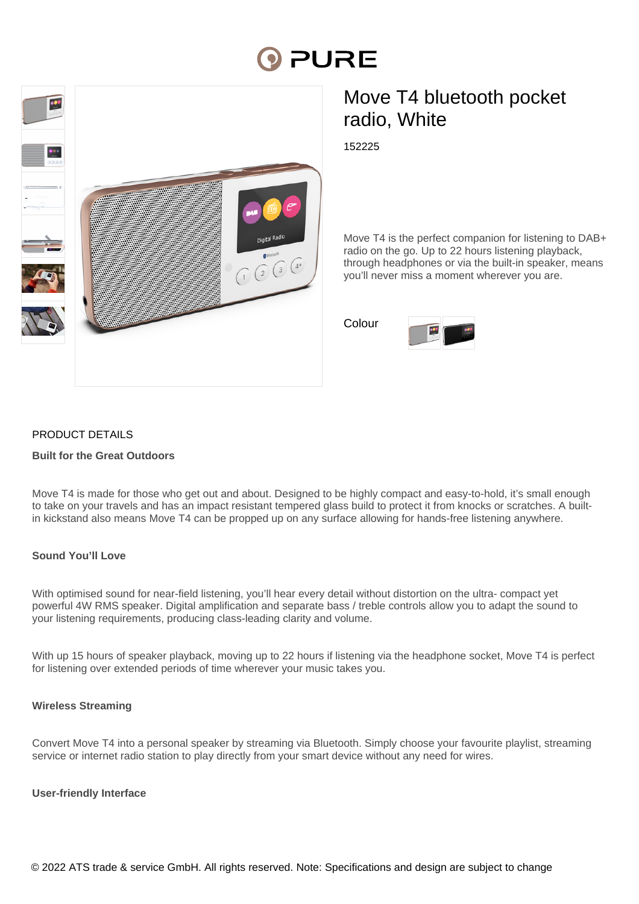# **PURE**



# Move T4 bluetooth pocket radio, White

152225

Move T4 is the perfect companion for listening to DAB+ radio on the go. Up to 22 hours listening playback, through headphones or via the built-in speaker, means you'll never miss a moment wherever you are.

Colour



# PRODUCT DETAILS

## **Built for the Great Outdoors**

Move T4 is made for those who get out and about. Designed to be highly compact and easy-to-hold, it's small enough to take on your travels and has an impact resistant tempered glass build to protect it from knocks or scratches. A builtin kickstand also means Move T4 can be propped up on any surface allowing for hands-free listening anywhere.

# **Sound You'll Love**

With optimised sound for near-field listening, you'll hear every detail without distortion on the ultra- compact yet powerful 4W RMS speaker. Digital amplification and separate bass / treble controls allow you to adapt the sound to your listening requirements, producing class-leading clarity and volume.

With up 15 hours of speaker playback, moving up to 22 hours if listening via the headphone socket, Move T4 is perfect for listening over extended periods of time wherever your music takes you.

#### **Wireless Streaming**

Convert Move T4 into a personal speaker by streaming via Bluetooth. Simply choose your favourite playlist, streaming service or internet radio station to play directly from your smart device without any need for wires.

#### **User-friendly Interface**